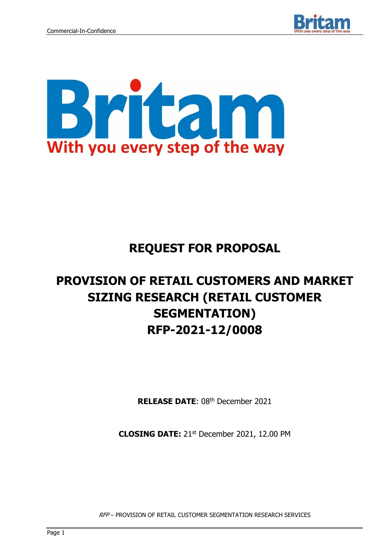



## **REQUEST FOR PROPOSAL**

# **PROVISION OF RETAIL CUSTOMERS AND MARKET SIZING RESEARCH (RETAIL CUSTOMER SEGMENTATION) RFP-2021-12/0008**

**RELEASE DATE: 08th December 2021** 

**CLOSING DATE:** 21st December 2021, 12.00 PM

RFP – PROVISION OF RETAIL CUSTOMER SEGMENTATION RESEARCH SERVICES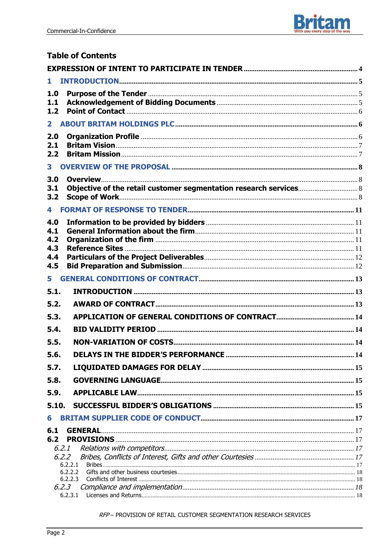

## **Table of Contents**

| 1                            |                                                                   |  |
|------------------------------|-------------------------------------------------------------------|--|
| 1.0<br>1.1                   |                                                                   |  |
| 1.2                          |                                                                   |  |
| $\mathbf{2}$                 |                                                                   |  |
| 2.0<br>2.1<br>2.2            |                                                                   |  |
| $\mathbf{3}$                 |                                                                   |  |
| 3.0<br>3.1<br>3.2            | Objective of the retail customer segmentation research services 8 |  |
| 4                            |                                                                   |  |
| 4.0<br>4.1<br>4.2            |                                                                   |  |
| 4.3                          |                                                                   |  |
| 4.4<br>4.5                   |                                                                   |  |
| 5                            |                                                                   |  |
| 5.1.                         |                                                                   |  |
| 5.2.                         |                                                                   |  |
| 5.3.                         |                                                                   |  |
| 5.4.                         |                                                                   |  |
| 5.5.                         |                                                                   |  |
| 5.6.                         |                                                                   |  |
| 5.7.                         |                                                                   |  |
| 5.8.                         |                                                                   |  |
| 5.9.                         |                                                                   |  |
| 5.10.                        |                                                                   |  |
| 6                            |                                                                   |  |
| 6.1<br>6.2<br>6.2.1<br>6.2.2 | <b>GENERAL</b><br>6.2.2.1                                         |  |
|                              | 6.2.2.2<br>6.2.2.3                                                |  |
| 6.2.3                        | 6.2.3.1                                                           |  |

#### RFP-PROVISION OF RETAIL CUSTOMER SEGMENTATION RESEARCH SERVICES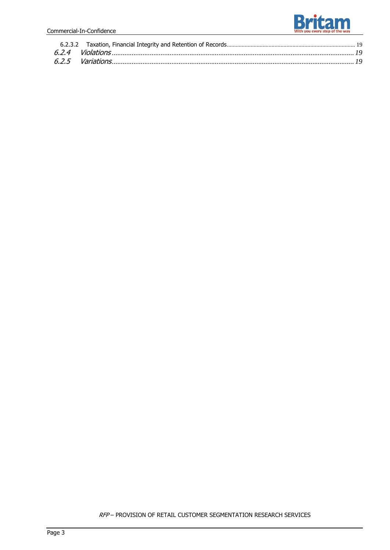

RFP – PROVISION OF RETAIL CUSTOMER SEGMENTATION RESEARCH SERVICES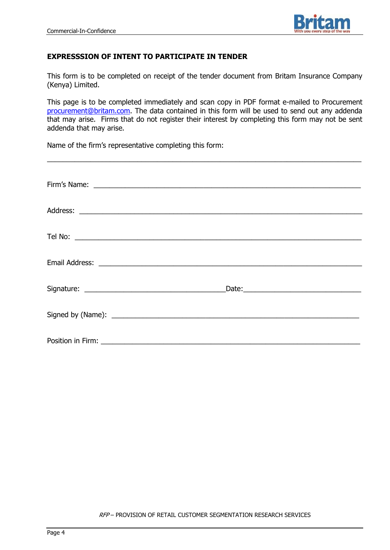

#### **EXPRESSSION OF INTENT TO PARTICIPATE IN TENDER**

This form is to be completed on receipt of the tender document from Britam Insurance Company (Kenya) Limited.

This page is to be completed immediately and scan copy in PDF format e-mailed to Procurement [procurement@britam.com.](mailto:procurement@britam.com) The data contained in this form will be used to send out any addenda that may arise. Firms that do not register their interest by completing this form may not be sent addenda that may arise.

\_\_\_\_\_\_\_\_\_\_\_\_\_\_\_\_\_\_\_\_\_\_\_\_\_\_\_\_\_\_\_\_\_\_\_\_\_\_\_\_\_\_\_\_\_\_\_\_\_\_\_\_\_\_\_\_\_\_\_\_\_\_\_\_\_\_\_\_\_\_\_\_\_\_\_\_\_\_\_\_

Name of the firm's representative completing this form:

| Email Address: Land American Construction and Construction and Construction and Construction and Construction |  |
|---------------------------------------------------------------------------------------------------------------|--|
|                                                                                                               |  |
|                                                                                                               |  |
|                                                                                                               |  |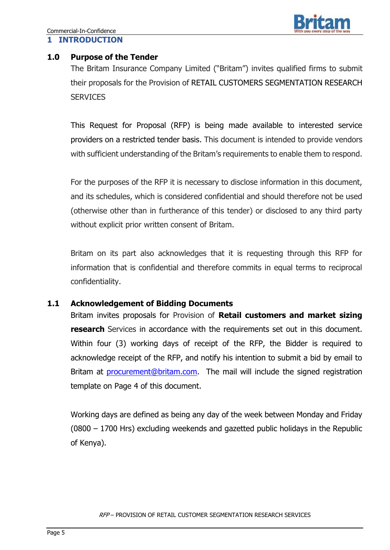

#### **1.0 Purpose of the Tender**

The Britam Insurance Company Limited ("Britam") invites qualified firms to submit their proposals for the Provision of RETAIL CUSTOMERS SEGMENTATION RESEARCH **SERVICES** 

This Request for Proposal (RFP) is being made available to interested service providers on a restricted tender basis. This document is intended to provide vendors with sufficient understanding of the Britam's requirements to enable them to respond.

For the purposes of the RFP it is necessary to disclose information in this document, and its schedules, which is considered confidential and should therefore not be used (otherwise other than in furtherance of this tender) or disclosed to any third party without explicit prior written consent of Britam.

Britam on its part also acknowledges that it is requesting through this RFP for information that is confidential and therefore commits in equal terms to reciprocal confidentiality.

## **1.1 Acknowledgement of Bidding Documents**

Britam invites proposals for Provision of **Retail customers and market sizing research** Services in accordance with the requirements set out in this document. Within four (3) working days of receipt of the RFP, the Bidder is required to acknowledge receipt of the RFP, and notify his intention to submit a bid by email to Britam at **[procurement@britam.com.](mailto:procurement@britam.com)** The mail will include the signed registration template on Page 4 of this document.

Working days are defined as being any day of the week between Monday and Friday (0800 – 1700 Hrs) excluding weekends and gazetted public holidays in the Republic of Kenya).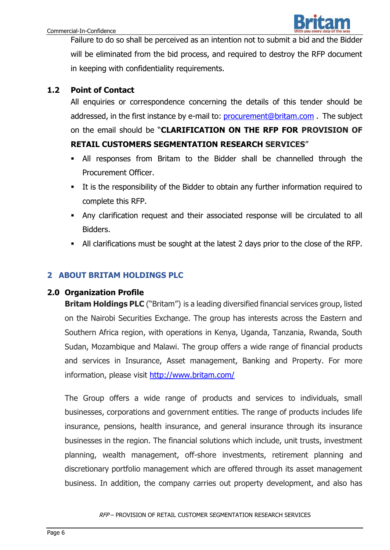Failure to do so shall be perceived as an intention not to submit a bid and the Bidder will be eliminated from the bid process, and required to destroy the RFP document in keeping with confidentiality requirements.

## **1.2 Point of Contact**

All enquiries or correspondence concerning the details of this tender should be addressed, in the first instance by e-mail to: [procurement@britam.com](mailto:procurement@britam.com) .The subject on the email should be "**CLARIFICATION ON THE RFP FOR PROVISION OF RETAIL CUSTOMERS SEGMENTATION RESEARCH SERVICES**"

- All responses from Britam to the Bidder shall be channelled through the Procurement Officer.
- It is the responsibility of the Bidder to obtain any further information required to complete this RFP.
- Any clarification request and their associated response will be circulated to all Bidders.
- All clarifications must be sought at the latest 2 days prior to the close of the RFP.

## **2 ABOUT BRITAM HOLDINGS PLC**

## **2.0 Organization Profile**

**Britam Holdings PLC** ("Britam") is a leading diversified financial services group, listed on the Nairobi Securities Exchange. The group has interests across the Eastern and Southern Africa region, with operations in Kenya, Uganda, Tanzania, Rwanda, South Sudan, Mozambique and Malawi. The group offers a wide range of financial products and services in Insurance, Asset management, Banking and Property. For more information, please visit <http://www.britam.com/>

The Group offers a wide range of products and services to individuals, small businesses, corporations and government entities. The range of products includes life insurance, pensions, health insurance, and general insurance through its insurance businesses in the region. The financial solutions which include, unit trusts, investment planning, wealth management, off-shore investments, retirement planning and discretionary portfolio management which are offered through its asset management business. In addition, the company carries out property development, and also has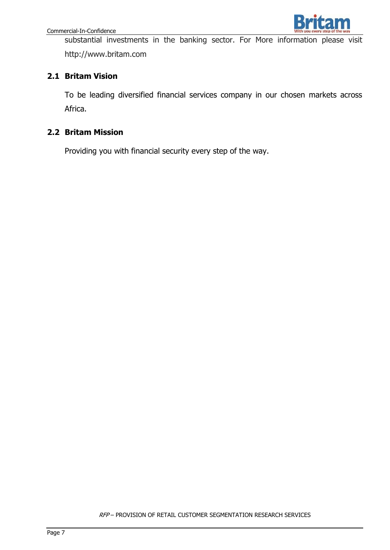

substantial investments in the banking sector. For More information please visit [ht](http://www.britam.co.ke/)tp://www.britam.com

## **2.1 Britam Vision**

To be leading diversified financial services company in our chosen markets across Africa.

## **2.2 Britam Mission**

Providing you with financial security every step of the way.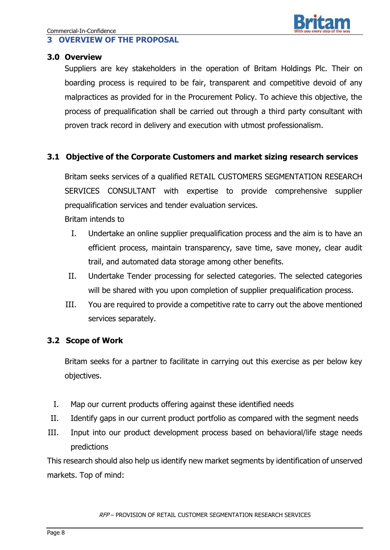## **3 OVERVIEW OF THE PROPOSAL**

#### **3.0 Overview**

Suppliers are key stakeholders in the operation of Britam Holdings Plc. Their on boarding process is required to be fair, transparent and competitive devoid of any malpractices as provided for in the Procurement Policy. To achieve this objective, the process of prequalification shall be carried out through a third party consultant with proven track record in delivery and execution with utmost professionalism.

## **3.1 Objective of the Corporate Customers and market sizing research services**

Britam seeks services of a qualified RETAIL CUSTOMERS SEGMENTATION RESEARCH SERVICES CONSULTANT with expertise to provide comprehensive supplier prequalification services and tender evaluation services.

Britam intends to

- I. Undertake an online supplier prequalification process and the aim is to have an efficient process, maintain transparency, save time, save money, clear audit trail, and automated data storage among other benefits.
- II. Undertake Tender processing for selected categories. The selected categories will be shared with you upon completion of supplier prequalification process.
- III. You are required to provide a competitive rate to carry out the above mentioned services separately.

## **3.2 Scope of Work**

Britam seeks for a partner to facilitate in carrying out this exercise as per below key objectives.

- I. Map our current products offering against these identified needs
- II. Identify gaps in our current product portfolio as compared with the segment needs
- III. Input into our product development process based on behavioral/life stage needs predictions

This research should also help us identify new market segments by identification of unserved markets. Top of mind: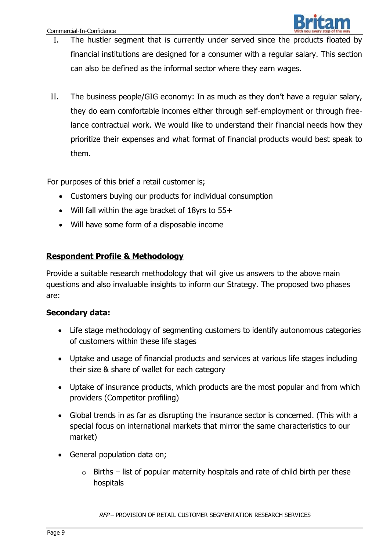

- I. The hustler segment that is currently under served since the products floated by financial institutions are designed for a consumer with a regular salary. This section can also be defined as the informal sector where they earn wages.
- II. The business people/GIG economy: In as much as they don't have a regular salary, they do earn comfortable incomes either through self-employment or through freelance contractual work. We would like to understand their financial needs how they prioritize their expenses and what format of financial products would best speak to them.

For purposes of this brief a retail customer is;

- Customers buying our products for individual consumption
- Will fall within the age bracket of 18yrs to 55+
- Will have some form of a disposable income

## **Respondent Profile & Methodology**

Provide a suitable research methodology that will give us answers to the above main questions and also invaluable insights to inform our Strategy. The proposed two phases are:

## **Secondary data:**

- Life stage methodology of segmenting customers to identify autonomous categories of customers within these life stages
- Uptake and usage of financial products and services at various life stages including their size & share of wallet for each category
- Uptake of insurance products, which products are the most popular and from which providers (Competitor profiling)
- Global trends in as far as disrupting the insurance sector is concerned. (This with a special focus on international markets that mirror the same characteristics to our market)
- General population data on;
	- $\circ$  Births list of popular maternity hospitals and rate of child birth per these hospitals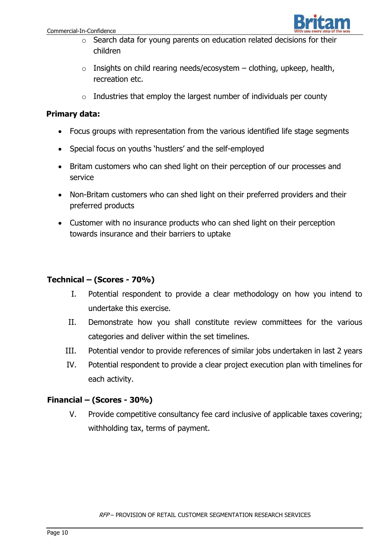

- o Search data for young parents on education related decisions for their children
- $\circ$  Insights on child rearing needs/ecosystem clothing, upkeep, health, recreation etc.
- $\circ$  Industries that employ the largest number of individuals per county

## **Primary data:**

- Focus groups with representation from the various identified life stage segments
- Special focus on youths 'hustlers' and the self-employed
- Britam customers who can shed light on their perception of our processes and service
- Non-Britam customers who can shed light on their preferred providers and their preferred products
- Customer with no insurance products who can shed light on their perception towards insurance and their barriers to uptake

## **Technical – (Scores - 70%)**

- I. Potential respondent to provide a clear methodology on how you intend to undertake this exercise.
- II. Demonstrate how you shall constitute review committees for the various categories and deliver within the set timelines.
- III. Potential vendor to provide references of similar jobs undertaken in last 2 years
- IV. Potential respondent to provide a clear project execution plan with timelines for each activity.

## **Financial – (Scores - 30%)**

V. Provide competitive consultancy fee card inclusive of applicable taxes covering; withholding tax, terms of payment.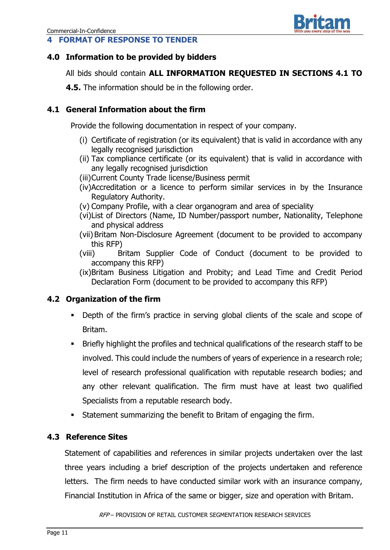## **4 FORMAT OF RESPONSE TO TENDER**



## **4.0 Information to be provided by bidders**

All bids should contain **ALL INFORMATION REQUESTED IN SECTIONS 4.1 TO** 

**4.5.** The information should be in the following order.

## **4.1 General Information about the firm**

Provide the following documentation in respect of your company.

- (i) Certificate of registration (or its equivalent) that is valid in accordance with any legally recognised jurisdiction
- (ii) Tax compliance certificate (or its equivalent) that is valid in accordance with any legally recognised jurisdiction
- (iii)Current County Trade license/Business permit
- (iv)Accreditation or a licence to perform similar services in by the Insurance Regulatory Authority.
- (v) Company Profile, with a clear organogram and area of speciality
- (vi)List of Directors (Name, ID Number/passport number, Nationality, Telephone and physical address
- (vii) Britam Non-Disclosure Agreement (document to be provided to accompany this RFP)
- (viii) Britam Supplier Code of Conduct (document to be provided to accompany this RFP)
- (ix)Britam Business Litigation and Probity; and Lead Time and Credit Period Declaration Form (document to be provided to accompany this RFP)

## **4.2 Organization of the firm**

- Depth of the firm's practice in serving global clients of the scale and scope of Britam.
- Briefly highlight the profiles and technical qualifications of the research staff to be involved. This could include the numbers of years of experience in a research role; level of research professional qualification with reputable research bodies; and any other relevant qualification. The firm must have at least two qualified Specialists from a reputable research body.
- Statement summarizing the benefit to Britam of engaging the firm.

## **4.3 Reference Sites**

Statement of capabilities and references in similar projects undertaken over the last three years including a brief description of the projects undertaken and reference letters. The firm needs to have conducted similar work with an insurance company, Financial Institution in Africa of the same or bigger, size and operation with Britam.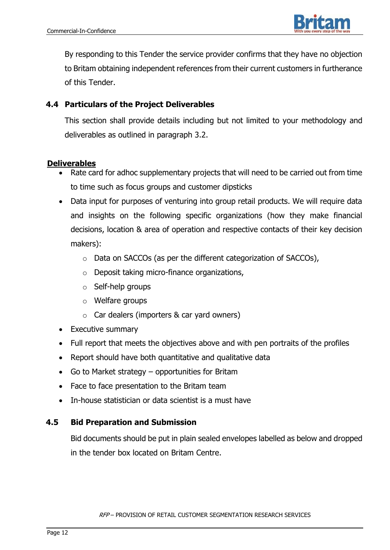

By responding to this Tender the service provider confirms that they have no objection to Britam obtaining independent references from their current customers in furtherance of this Tender.

## **4.4 Particulars of the Project Deliverables**

This section shall provide details including but not limited to your methodology and deliverables as outlined in paragraph 3.2.

## **Deliverables**

- Rate card for adhoc supplementary projects that will need to be carried out from time to time such as focus groups and customer dipsticks
- Data input for purposes of venturing into group retail products. We will require data and insights on the following specific organizations (how they make financial decisions, location & area of operation and respective contacts of their key decision makers):
	- o Data on SACCOs (as per the different categorization of SACCOs),
	- o Deposit taking micro-finance organizations,
	- o Self-help groups
	- $\circ$  Welfare groups
	- $\circ$  Car dealers (importers & car yard owners)
- Executive summary
- Full report that meets the objectives above and with pen portraits of the profiles
- Report should have both quantitative and qualitative data
- Go to Market strategy opportunities for Britam
- Face to face presentation to the Britam team
- In-house statistician or data scientist is a must have

## **4.5 Bid Preparation and Submission**

Bid documents should be put in plain sealed envelopes labelled as below and dropped in the tender box located on Britam Centre.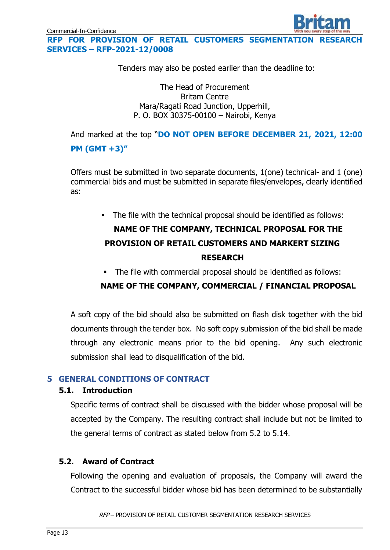**RFP FOR PROVISION OF RETAIL CUSTOMERS SEGMENTATION RESEARCH SERVICES – RFP-2021-12/0008**

Tenders may also be posted earlier than the deadline to:

The Head of Procurement Britam Centre Mara/Ragati Road Junction, Upperhill, P. O. BOX 30375-00100 – Nairobi, Kenya

And marked at the top "**DO NOT OPEN BEFORE DECEMBER 21, 2021, 12:00 PM (GMT +3)"**

Offers must be submitted in two separate documents, 1(one) technical- and 1 (one) commercial bids and must be submitted in separate files/envelopes, clearly identified as:

The file with the technical proposal should be identified as follows:

## **NAME OF THE COMPANY, TECHNICAL PROPOSAL FOR THE PROVISION OF RETAIL CUSTOMERS AND MARKERT SIZING RESEARCH**

The file with commercial proposal should be identified as follows:

## **NAME OF THE COMPANY, COMMERCIAL / FINANCIAL PROPOSAL**

A soft copy of the bid should also be submitted on flash disk together with the bid documents through the tender box. No soft copy submission of the bid shall be made through any electronic means prior to the bid opening. Any such electronic submission shall lead to disqualification of the bid.

## **5 GENERAL CONDITIONS OF CONTRACT**

#### **5.1. Introduction**

Specific terms of contract shall be discussed with the bidder whose proposal will be accepted by the Company. The resulting contract shall include but not be limited to the general terms of contract as stated below from 5.2 to 5.14.

## **5.2. Award of Contract**

Following the opening and evaluation of proposals, the Company will award the Contract to the successful bidder whose bid has been determined to be substantially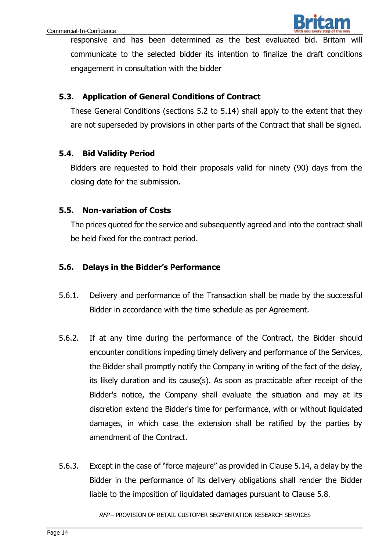

responsive and has been determined as the best evaluated bid. Britam will communicate to the selected bidder its intention to finalize the draft conditions engagement in consultation with the bidder

#### **5.3. Application of General Conditions of Contract**

These General Conditions (sections 5.2 to 5.14) shall apply to the extent that they are not superseded by provisions in other parts of the Contract that shall be signed.

#### **5.4. Bid Validity Period**

Bidders are requested to hold their proposals valid for ninety (90) days from the closing date for the submission.

#### **5.5. Non-variation of Costs**

The prices quoted for the service and subsequently agreed and into the contract shall be held fixed for the contract period.

#### **5.6. Delays in the Bidder's Performance**

- 5.6.1. Delivery and performance of the Transaction shall be made by the successful Bidder in accordance with the time schedule as per Agreement.
- 5.6.2. If at any time during the performance of the Contract, the Bidder should encounter conditions impeding timely delivery and performance of the Services, the Bidder shall promptly notify the Company in writing of the fact of the delay, its likely duration and its cause(s). As soon as practicable after receipt of the Bidder's notice, the Company shall evaluate the situation and may at its discretion extend the Bidder's time for performance, with or without liquidated damages, in which case the extension shall be ratified by the parties by amendment of the Contract.
- 5.6.3. Except in the case of "force majeure" as provided in Clause 5.14, a delay by the Bidder in the performance of its delivery obligations shall render the Bidder liable to the imposition of liquidated damages pursuant to Clause 5.8.

RFP – PROVISION OF RETAIL CUSTOMER SEGMENTATION RESEARCH SERVICES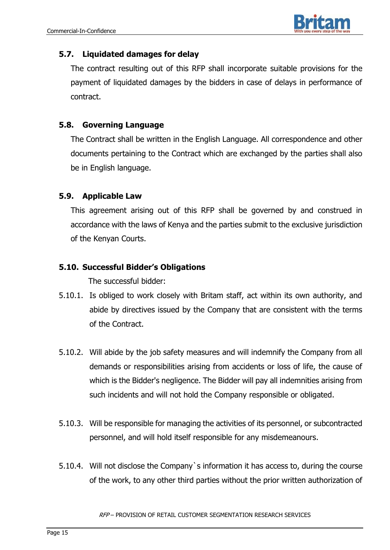

## **5.7. Liquidated damages for delay**

The contract resulting out of this RFP shall incorporate suitable provisions for the payment of liquidated damages by the bidders in case of delays in performance of contract.

## **5.8. Governing Language**

The Contract shall be written in the English Language. All correspondence and other documents pertaining to the Contract which are exchanged by the parties shall also be in English language.

## **5.9. Applicable Law**

This agreement arising out of this RFP shall be governed by and construed in accordance with the laws of Kenya and the parties submit to the exclusive jurisdiction of the Kenyan Courts.

#### **5.10. Successful Bidder's Obligations**

The successful bidder:

- 5.10.1. Is obliged to work closely with Britam staff, act within its own authority, and abide by directives issued by the Company that are consistent with the terms of the Contract.
- 5.10.2. Will abide by the job safety measures and will indemnify the Company from all demands or responsibilities arising from accidents or loss of life, the cause of which is the Bidder's negligence. The Bidder will pay all indemnities arising from such incidents and will not hold the Company responsible or obligated.
- 5.10.3. Will be responsible for managing the activities of its personnel, or subcontracted personnel, and will hold itself responsible for any misdemeanours.
- 5.10.4. Will not disclose the Company`s information it has access to, during the course of the work, to any other third parties without the prior written authorization of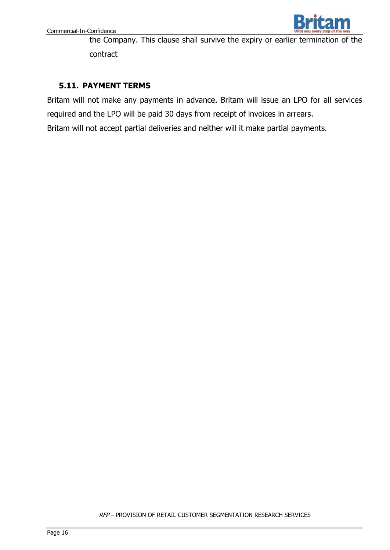

the Company. This clause shall survive the expiry or earlier termination of the contract

## **5.11. PAYMENT TERMS**

Britam will not make any payments in advance. Britam will issue an LPO for all services required and the LPO will be paid 30 days from receipt of invoices in arrears.

Britam will not accept partial deliveries and neither will it make partial payments.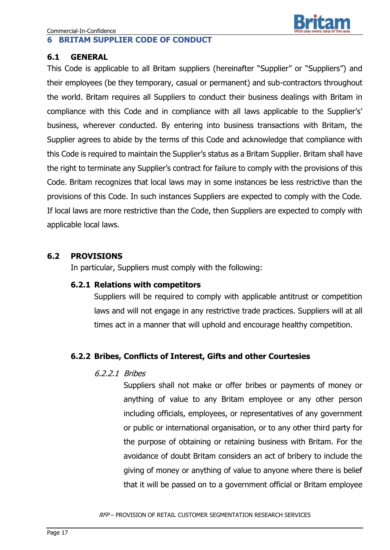## **6 BRITAM SUPPLIER CODE OF CONDUCT**

#### **6.1 GENERAL**

This Code is applicable to all Britam suppliers (hereinafter "Supplier" or "Suppliers") and their employees (be they temporary, casual or permanent) and sub-contractors throughout the world. Britam requires all Suppliers to conduct their business dealings with Britam in compliance with this Code and in compliance with all laws applicable to the Supplier's' business, wherever conducted. By entering into business transactions with Britam, the Supplier agrees to abide by the terms of this Code and acknowledge that compliance with this Code is required to maintain the Supplier's status as a Britam Supplier. Britam shall have the right to terminate any Supplier's contract for failure to comply with the provisions of this Code. Britam recognizes that local laws may in some instances be less restrictive than the provisions of this Code. In such instances Suppliers are expected to comply with the Code. If local laws are more restrictive than the Code, then Suppliers are expected to comply with applicable local laws.

## **6.2 PROVISIONS**

In particular, Suppliers must comply with the following:

## **6.2.1 Relations with competitors**

Suppliers will be required to comply with applicable antitrust or competition laws and will not engage in any restrictive trade practices. Suppliers will at all times act in a manner that will uphold and encourage healthy competition.

## **6.2.2 Bribes, Conflicts of Interest, Gifts and other Courtesies**

## 6.2.2.1 Bribes

Suppliers shall not make or offer bribes or payments of money or anything of value to any Britam employee or any other person including officials, employees, or representatives of any government or public or international organisation, or to any other third party for the purpose of obtaining or retaining business with Britam. For the avoidance of doubt Britam considers an act of bribery to include the giving of money or anything of value to anyone where there is belief that it will be passed on to a government official or Britam employee

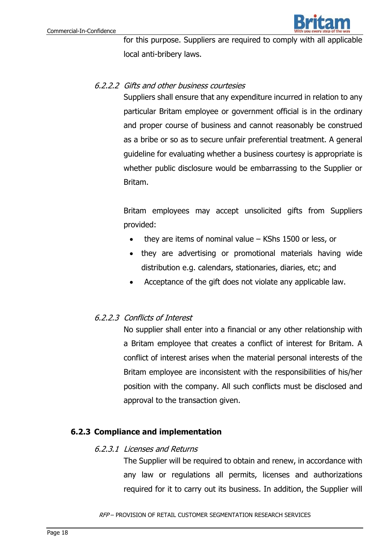

for this purpose. Suppliers are required to comply with all applicable local anti-bribery laws.

## 6.2.2.2 Gifts and other business courtesies

Suppliers shall ensure that any expenditure incurred in relation to any particular Britam employee or government official is in the ordinary and proper course of business and cannot reasonably be construed as a bribe or so as to secure unfair preferential treatment. A general guideline for evaluating whether a business courtesy is appropriate is whether public disclosure would be embarrassing to the Supplier or Britam.

Britam employees may accept unsolicited gifts from Suppliers provided:

- they are items of nominal value KShs 1500 or less, or
- they are advertising or promotional materials having wide distribution e.g. calendars, stationaries, diaries, etc; and
- Acceptance of the gift does not violate any applicable law.

## 6.2.2.3 Conflicts of Interest

No supplier shall enter into a financial or any other relationship with a Britam employee that creates a conflict of interest for Britam. A conflict of interest arises when the material personal interests of the Britam employee are inconsistent with the responsibilities of his/her position with the company. All such conflicts must be disclosed and approval to the transaction given.

## **6.2.3 Compliance and implementation**

#### 6.2.3.1 Licenses and Returns

The Supplier will be required to obtain and renew, in accordance with any law or regulations all permits, licenses and authorizations required for it to carry out its business. In addition, the Supplier will